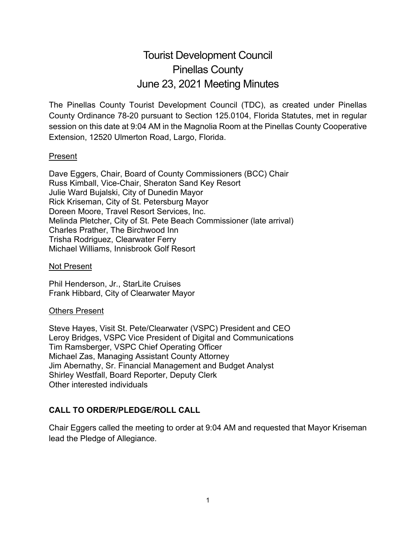# Tourist Development Council Pinellas County June 23, 2021 Meeting Minutes

The Pinellas County Tourist Development Council (TDC), as created under Pinellas County Ordinance 78-20 pursuant to Section 125.0104, Florida Statutes, met in regular session on this date at 9:04 AM in the Magnolia Room at the Pinellas County Cooperative Extension, 12520 Ulmerton Road, Largo, Florida.

#### Present

Dave Eggers, Chair, Board of County Commissioners (BCC) Chair Russ Kimball, Vice-Chair, Sheraton Sand Key Resort Julie Ward Bujalski, City of Dunedin Mayor Rick Kriseman, City of St. Petersburg Mayor Doreen Moore, Travel Resort Services, Inc. Melinda Pletcher, City of St. Pete Beach Commissioner (late arrival) Charles Prather, The Birchwood Inn Trisha Rodriguez, Clearwater Ferry Michael Williams, Innisbrook Golf Resort

Not Present

Phil Henderson, Jr., StarLite Cruises Frank Hibbard, City of Clearwater Mayor

#### Others Present

Steve Hayes, Visit St. Pete/Clearwater (VSPC) President and CEO Leroy Bridges, VSPC Vice President of Digital and Communications Tim Ramsberger, VSPC Chief Operating Officer Michael Zas, Managing Assistant County Attorney Jim Abernathy, Sr. Financial Management and Budget Analyst Shirley Westfall, Board Reporter, Deputy Clerk Other interested individuals

# **CALL TO ORDER/PLEDGE/ROLL CALL**

Chair Eggers called the meeting to order at 9:04 AM and requested that Mayor Kriseman lead the Pledge of Allegiance.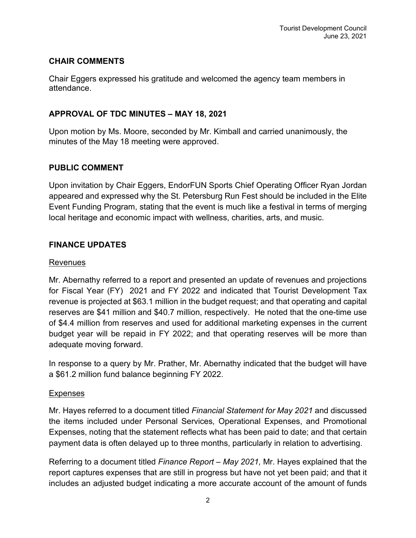### **CHAIR COMMENTS**

Chair Eggers expressed his gratitude and welcomed the agency team members in attendance.

# **APPROVAL OF TDC MINUTES – MAY 18, 2021**

Upon motion by Ms. Moore, seconded by Mr. Kimball and carried unanimously, the minutes of the May 18 meeting were approved.

# **PUBLIC COMMENT**

Upon invitation by Chair Eggers, EndorFUN Sports Chief Operating Officer Ryan Jordan appeared and expressed why the St. Petersburg Run Fest should be included in the Elite Event Funding Program, stating that the event is much like a festival in terms of merging local heritage and economic impact with wellness, charities, arts, and music.

# **FINANCE UPDATES**

#### Revenues

Mr. Abernathy referred to a report and presented an update of revenues and projections for Fiscal Year (FY) 2021 and FY 2022 and indicated that Tourist Development Tax revenue is projected at \$63.1 million in the budget request; and that operating and capital reserves are \$41 million and \$40.7 million, respectively. He noted that the one-time use of \$4.4 million from reserves and used for additional marketing expenses in the current budget year will be repaid in FY 2022; and that operating reserves will be more than adequate moving forward.

In response to a query by Mr. Prather, Mr. Abernathy indicated that the budget will have a \$61.2 million fund balance beginning FY 2022.

#### Expenses

Mr. Hayes referred to a document titled *Financial Statement for May 2021* and discussed the items included under Personal Services, Operational Expenses, and Promotional Expenses, noting that the statement reflects what has been paid to date; and that certain payment data is often delayed up to three months, particularly in relation to advertising.

Referring to a document titled *Finance Report – May 2021,* Mr. Hayes explained that the report captures expenses that are still in progress but have not yet been paid; and that it includes an adjusted budget indicating a more accurate account of the amount of funds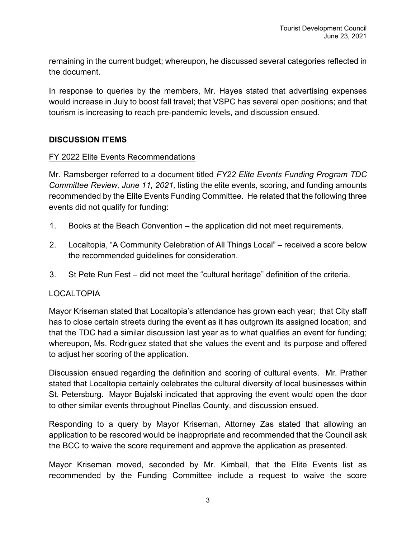remaining in the current budget; whereupon, he discussed several categories reflected in the document.

In response to queries by the members, Mr. Hayes stated that advertising expenses would increase in July to boost fall travel; that VSPC has several open positions; and that tourism is increasing to reach pre-pandemic levels, and discussion ensued.

#### **DISCUSSION ITEMS**

#### FY 2022 Elite Events Recommendations

Mr. Ramsberger referred to a document titled *FY22 Elite Events Funding Program TDC Committee Review, June 11, 2021,* listing the elite events, scoring, and funding amounts recommended by the Elite Events Funding Committee. He related that the following three events did not qualify for funding:

- 1. Books at the Beach Convention the application did not meet requirements.
- 2. Localtopia, "A Community Celebration of All Things Local" received a score below the recommended guidelines for consideration.
- 3. St Pete Run Fest did not meet the "cultural heritage" definition of the criteria.

#### LOCALTOPIA

Mayor Kriseman stated that Localtopia's attendance has grown each year; that City staff has to close certain streets during the event as it has outgrown its assigned location; and that the TDC had a similar discussion last year as to what qualifies an event for funding; whereupon, Ms. Rodriguez stated that she values the event and its purpose and offered to adjust her scoring of the application.

Discussion ensued regarding the definition and scoring of cultural events. Mr. Prather stated that Localtopia certainly celebrates the cultural diversity of local businesses within St. Petersburg. Mayor Bujalski indicated that approving the event would open the door to other similar events throughout Pinellas County, and discussion ensued.

Responding to a query by Mayor Kriseman, Attorney Zas stated that allowing an application to be rescored would be inappropriate and recommended that the Council ask the BCC to waive the score requirement and approve the application as presented.

Mayor Kriseman moved, seconded by Mr. Kimball, that the Elite Events list as recommended by the Funding Committee include a request to waive the score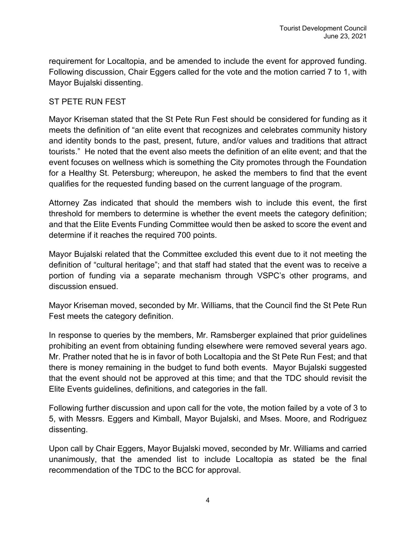requirement for Localtopia, and be amended to include the event for approved funding. Following discussion, Chair Eggers called for the vote and the motion carried 7 to 1, with Mayor Bujalski dissenting.

#### ST PETE RUN FEST

Mayor Kriseman stated that the St Pete Run Fest should be considered for funding as it meets the definition of "an elite event that recognizes and celebrates community history and identity bonds to the past, present, future, and/or values and traditions that attract tourists." He noted that the event also meets the definition of an elite event; and that the event focuses on wellness which is something the City promotes through the Foundation for a Healthy St. Petersburg; whereupon, he asked the members to find that the event qualifies for the requested funding based on the current language of the program.

Attorney Zas indicated that should the members wish to include this event, the first threshold for members to determine is whether the event meets the category definition; and that the Elite Events Funding Committee would then be asked to score the event and determine if it reaches the required 700 points.

Mayor Bujalski related that the Committee excluded this event due to it not meeting the definition of "cultural heritage"; and that staff had stated that the event was to receive a portion of funding via a separate mechanism through VSPC's other programs, and discussion ensued.

Mayor Kriseman moved, seconded by Mr. Williams, that the Council find the St Pete Run Fest meets the category definition.

In response to queries by the members, Mr. Ramsberger explained that prior guidelines prohibiting an event from obtaining funding elsewhere were removed several years ago. Mr. Prather noted that he is in favor of both Localtopia and the St Pete Run Fest; and that there is money remaining in the budget to fund both events. Mayor Bujalski suggested that the event should not be approved at this time; and that the TDC should revisit the Elite Events guidelines, definitions, and categories in the fall.

Following further discussion and upon call for the vote, the motion failed by a vote of 3 to 5, with Messrs. Eggers and Kimball, Mayor Bujalski, and Mses. Moore, and Rodriguez dissenting.

Upon call by Chair Eggers, Mayor Bujalski moved, seconded by Mr. Williams and carried unanimously, that the amended list to include Localtopia as stated be the final recommendation of the TDC to the BCC for approval.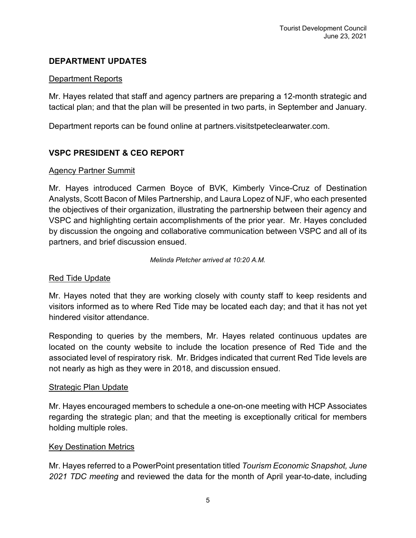### **DEPARTMENT UPDATES**

#### Department Reports

Mr. Hayes related that staff and agency partners are preparing a 12-month strategic and tactical plan; and that the plan will be presented in two parts, in September and January.

Department reports can be found online at partners.visitstpeteclearwater.com.

# **VSPC PRESIDENT & CEO REPORT**

# Agency Partner Summit

Mr. Hayes introduced Carmen Boyce of BVK, Kimberly Vince-Cruz of Destination Analysts, Scott Bacon of Miles Partnership, and Laura Lopez of NJF, who each presented the objectives of their organization, illustrating the partnership between their agency and VSPC and highlighting certain accomplishments of the prior year. Mr. Hayes concluded by discussion the ongoing and collaborative communication between VSPC and all of its partners, and brief discussion ensued.

*Melinda Pletcher arrived at 10:20 A.M.*

#### Red Tide Update

Mr. Hayes noted that they are working closely with county staff to keep residents and visitors informed as to where Red Tide may be located each day; and that it has not yet hindered visitor attendance.

Responding to queries by the members, Mr. Hayes related continuous updates are located on the county website to include the location presence of Red Tide and the associated level of respiratory risk. Mr. Bridges indicated that current Red Tide levels are not nearly as high as they were in 2018, and discussion ensued.

#### Strategic Plan Update

Mr. Hayes encouraged members to schedule a one-on-one meeting with HCP Associates regarding the strategic plan; and that the meeting is exceptionally critical for members holding multiple roles.

#### Key Destination Metrics

Mr. Hayes referred to a PowerPoint presentation titled *Tourism Economic Snapshot, June 2021 TDC meeting* and reviewed the data for the month of April year-to-date, including